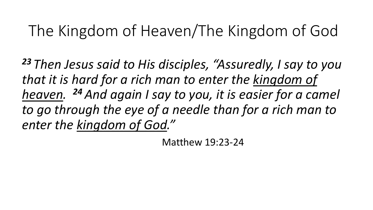## The Kingdom of Heaven/The Kingdom of God

*<sup>23</sup> Then Jesus said to His disciples, "Assuredly, I say to you that it is hard for a rich man to enter the kingdom of heaven. <sup>24</sup> And again I say to you, it is easier for a camel to go through the eye of a needle than for a rich man to enter the kingdom of God."*

Matthew 19:23-24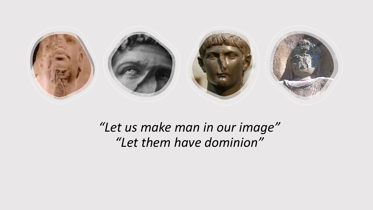

## *"Let us make man in our image" "Let them have dominion"*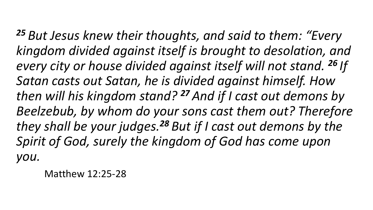*<sup>25</sup> But Jesus knew their thoughts, and said to them: "Every kingdom divided against itself is brought to desolation, and every city or house divided against itself will not stand. <sup>26</sup> If Satan casts out Satan, he is divided against himself. How then will his kingdom stand? <sup>27</sup> And if I cast out demons by Beelzebub, by whom do your sons cast them out? Therefore they shall be your judges.<sup>28</sup> But if I cast out demons by the Spirit of God, surely the kingdom of God has come upon you.*

Matthew 12:25-28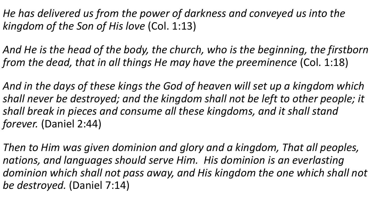*He has delivered us from the power of darkness and conveyed us into the kingdom of the Son of His love* (Col. 1:13)

*And He is the head of the body, the church, who is the beginning, the firstborn from the dead, that in all things He may have the preeminence* (Col. 1:18)

*And in the days of these kings the God of heaven will set up a kingdom which shall never be destroyed; and the kingdom shall not be left to other people; it shall break in pieces and consume all these kingdoms, and it shall stand forever.* (Daniel 2:44)

*Then to Him was given dominion and glory and a kingdom, That all peoples, nations, and languages should serve Him. His dominion is an everlasting dominion which shall not pass away, and His kingdom the one which shall not be destroyed.* (Daniel 7:14)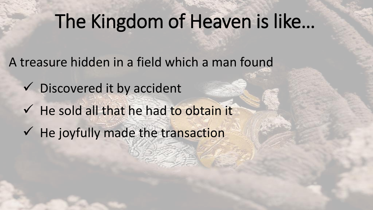## The Kingdom of Heaven is like…

A treasure hidden in a field which a man found

- ✓ Discovered it by accident
- ✓ He sold all that he had to obtain it
- ✓ He joyfully made the transaction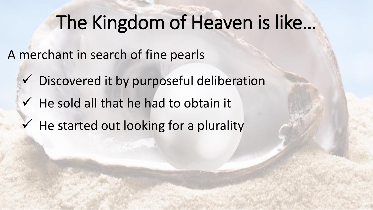## The Kingdom of Heaven is like…

A merchant in search of fine pearls

- ✓ Discovered it by purposeful deliberation
- ✓ He sold all that he had to obtain it
- $\checkmark$  He started out looking for a plurality